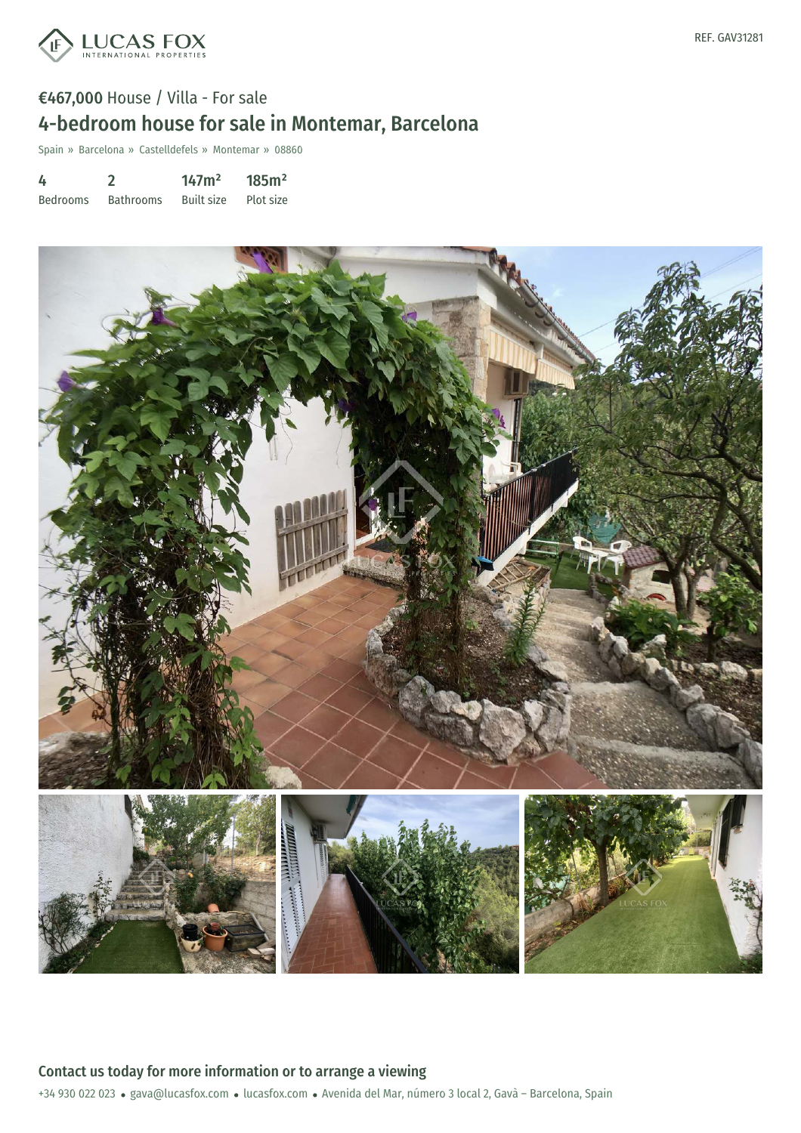

# €467,000 House / Villa - For sale 4-bedroom house for sale in Montemar, Barcelona

Spain » Barcelona » Castelldefels » Montemar » 08860

| 4               |                  | 147m <sup>2</sup> | 185m <sup>2</sup> |
|-----------------|------------------|-------------------|-------------------|
| <b>Bedrooms</b> | <b>Bathrooms</b> | <b>Built size</b> | Plot size         |

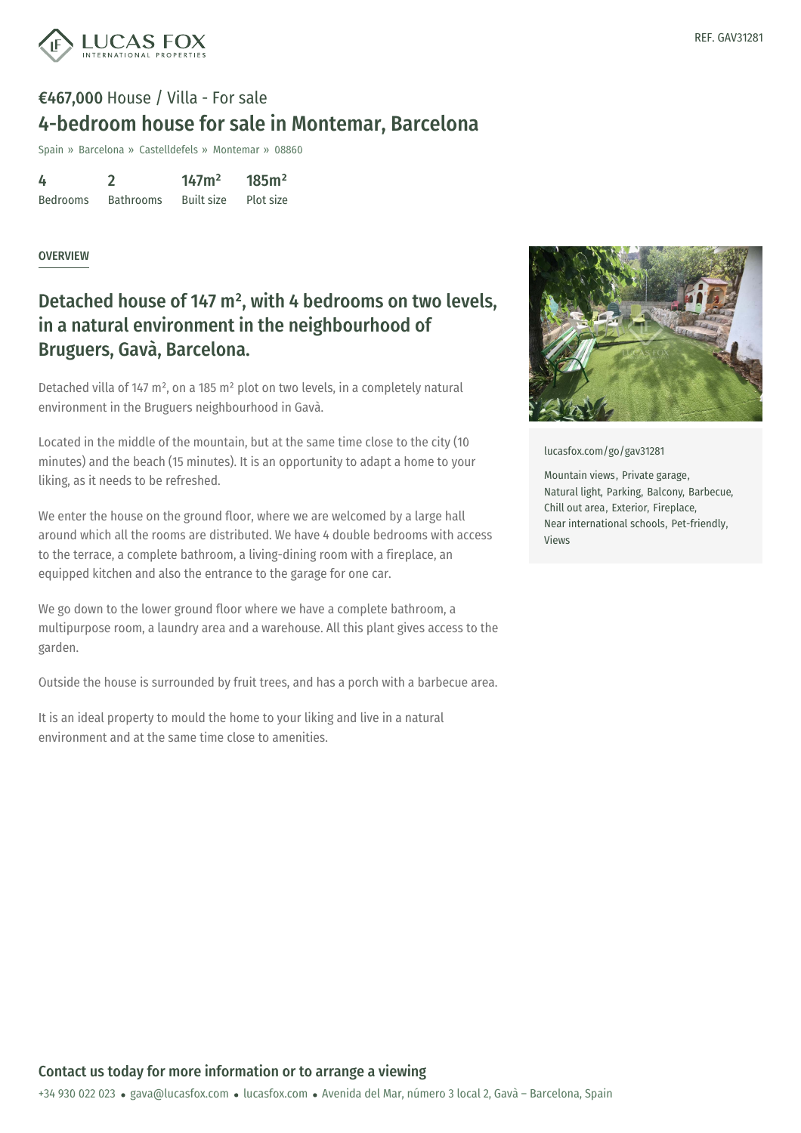

# €467,000 House / Villa - For sale 4-bedroom house for sale in Montemar, Barcelona

Spain » Barcelona » Castelldefels » Montemar » 08860

4 Bedrooms 2 Bathrooms  $147m<sup>2</sup>$ Built size 185m² Plot size

#### OVERVIEW

## Detached house of 147 m² , with 4 bedrooms on two levels, in a natural environment in the neighbourhood of Bruguers, Gavà, Barcelona.

Detached villa of 147 m², on a 185 m² plot on two levels, in a completely natural environment in the Bruguers neighbourhood in Gavà.

Located in the middle of the mountain, but at the same time close to the city (10 minutes) and the beach (15 minutes). It is an opportunity to adapt a home to your liking, as it needs to be refreshed.

We enter the house on the ground floor, where we are welcomed by a large hall around which all the rooms are distributed. We have 4 double bedrooms with access to the terrace, a complete bathroom, a living-dining room with a fireplace, an equipped kitchen and also the entrance to the garage for one car.

We go down to the lower ground floor where we have a complete bathroom, a multipurpose room, a laundry area and a warehouse. All this plant gives access to the garden.

Outside the house is surrounded by fruit trees, and has a porch with a barbecue area.

It is an ideal property to mould the home to your liking and live in a natural environment and at the same time close to amenities.



[lucasfox.com/go/gav31281](https://www.lucasfox.com/go/gav31281)

Mountain views, Private garage, Natural light, Parking, Balcony, Barbecue, Chill out area, Exterior, Fireplace, Near international schools, Pet-friendly, Views